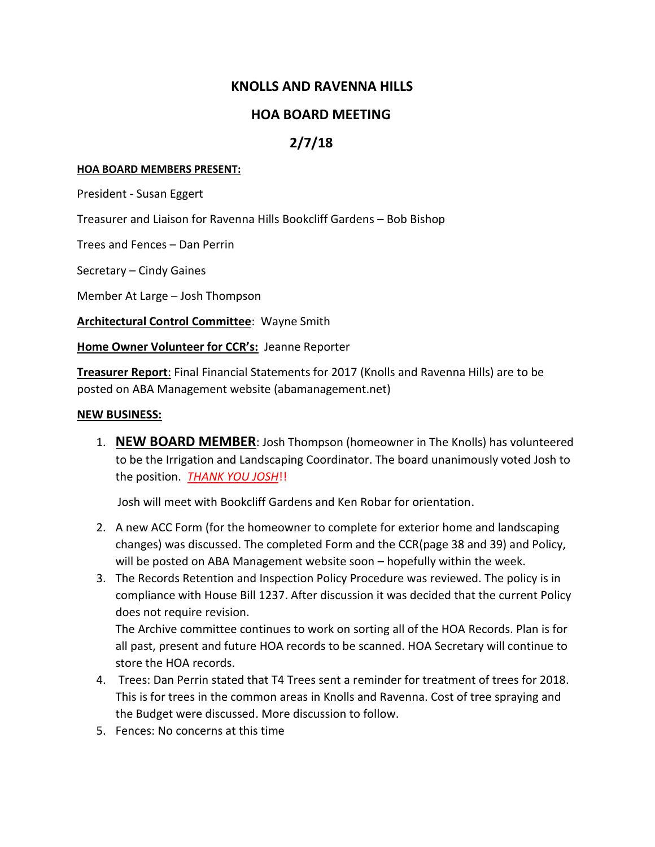## **KNOLLS AND RAVENNA HILLS**

## **HOA BOARD MEETING**

## **2/7/18**

#### **HOA BOARD MEMBERS PRESENT:**

President - Susan Eggert

Treasurer and Liaison for Ravenna Hills Bookcliff Gardens – Bob Bishop

Trees and Fences – Dan Perrin

Secretary – Cindy Gaines

Member At Large – Josh Thompson

**Architectural Control Committee**: Wayne Smith

**Home Owner Volunteer for CCR's:** Jeanne Reporter

**Treasurer Report**: Final Financial Statements for 2017 (Knolls and Ravenna Hills) are to be posted on ABA Management website (abamanagement.net)

#### **NEW BUSINESS:**

1. **NEW BOARD MEMBER**: Josh Thompson (homeowner in The Knolls) has volunteered to be the Irrigation and Landscaping Coordinator. The board unanimously voted Josh to the position. *THANK YOU JOSH*!!

Josh will meet with Bookcliff Gardens and Ken Robar for orientation.

- 2. A new ACC Form (for the homeowner to complete for exterior home and landscaping changes) was discussed. The completed Form and the CCR(page 38 and 39) and Policy, will be posted on ABA Management website soon – hopefully within the week.
- 3. The Records Retention and Inspection Policy Procedure was reviewed. The policy is in compliance with House Bill 1237. After discussion it was decided that the current Policy does not require revision.

The Archive committee continues to work on sorting all of the HOA Records. Plan is for all past, present and future HOA records to be scanned. HOA Secretary will continue to store the HOA records.

- 4. Trees: Dan Perrin stated that T4 Trees sent a reminder for treatment of trees for 2018. This is for trees in the common areas in Knolls and Ravenna. Cost of tree spraying and the Budget were discussed. More discussion to follow.
- 5. Fences: No concerns at this time